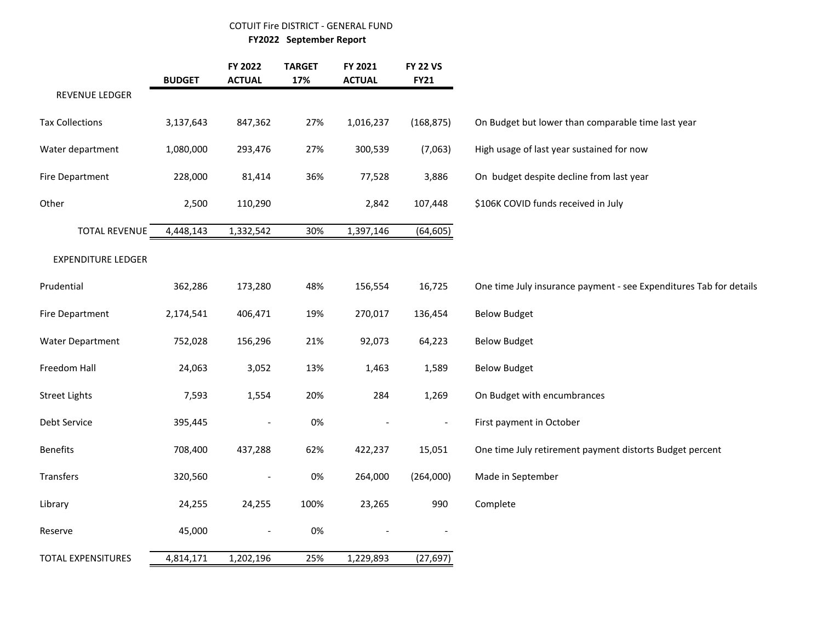## COTUIT Fire DISTRICT - GENERAL FUND

 **FY2022 September Report**

|                           | <b>BUDGET</b> | FY 2022<br><b>ACTUAL</b> | <b>TARGET</b><br>17% | FY 2021<br><b>ACTUAL</b> | <b>FY 22 VS</b><br><b>FY21</b> |                                                                    |
|---------------------------|---------------|--------------------------|----------------------|--------------------------|--------------------------------|--------------------------------------------------------------------|
| REVENUE LEDGER            |               |                          |                      |                          |                                |                                                                    |
| <b>Tax Collections</b>    | 3,137,643     | 847,362                  | 27%                  | 1,016,237                | (168, 875)                     | On Budget but lower than comparable time last year                 |
| Water department          | 1,080,000     | 293,476                  | 27%                  | 300,539                  | (7,063)                        | High usage of last year sustained for now                          |
| <b>Fire Department</b>    | 228,000       | 81,414                   | 36%                  | 77,528                   | 3,886                          | On budget despite decline from last year                           |
| Other                     | 2,500         | 110,290                  |                      | 2,842                    | 107,448                        | \$106K COVID funds received in July                                |
| <b>TOTAL REVENUE</b>      | 4,448,143     | 1,332,542                | 30%                  | 1,397,146                | (64, 605)                      |                                                                    |
| <b>EXPENDITURE LEDGER</b> |               |                          |                      |                          |                                |                                                                    |
| Prudential                | 362,286       | 173,280                  | 48%                  | 156,554                  | 16,725                         | One time July insurance payment - see Expenditures Tab for details |
| <b>Fire Department</b>    | 2,174,541     | 406,471                  | 19%                  | 270,017                  | 136,454                        | <b>Below Budget</b>                                                |
| <b>Water Department</b>   | 752,028       | 156,296                  | 21%                  | 92,073                   | 64,223                         | <b>Below Budget</b>                                                |
| Freedom Hall              | 24,063        | 3,052                    | 13%                  | 1,463                    | 1,589                          | <b>Below Budget</b>                                                |
| <b>Street Lights</b>      | 7,593         | 1,554                    | 20%                  | 284                      | 1,269                          | On Budget with encumbrances                                        |
| Debt Service              | 395,445       | $\overline{\phantom{a}}$ | 0%                   |                          | $\qquad \qquad \blacksquare$   | First payment in October                                           |
| <b>Benefits</b>           | 708,400       | 437,288                  | 62%                  | 422,237                  | 15,051                         | One time July retirement payment distorts Budget percent           |
| Transfers                 | 320,560       | $\overline{\phantom{a}}$ | 0%                   | 264,000                  | (264,000)                      | Made in September                                                  |
| Library                   | 24,255        | 24,255                   | 100%                 | 23,265                   | 990                            | Complete                                                           |
| Reserve                   | 45,000        | $\overline{\phantom{0}}$ | 0%                   |                          |                                |                                                                    |
| <b>TOTAL EXPENSITURES</b> | 4,814,171     | 1,202,196                | 25%                  | 1,229,893                | (27, 697)                      |                                                                    |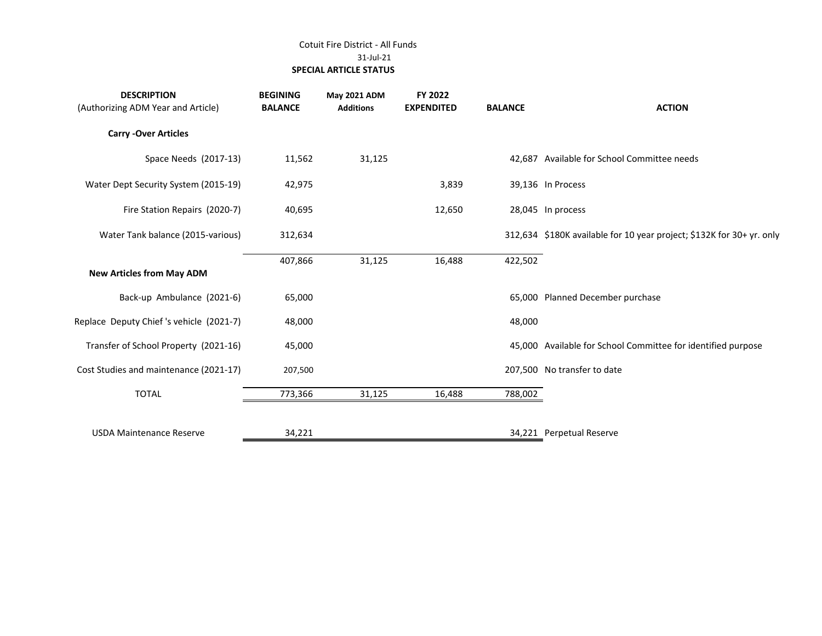## Cotuit Fire District - All Funds 31-Jul-21  **SPECIAL ARTICLE STATUS**

| <b>BEGINING</b><br><b>BALANCE</b> | May 2021 ADM<br><b>Additions</b> | FY 2022<br><b>EXPENDITED</b> | <b>BALANCE</b> | <b>ACTION</b>                                                         |
|-----------------------------------|----------------------------------|------------------------------|----------------|-----------------------------------------------------------------------|
|                                   |                                  |                              |                |                                                                       |
| 11,562                            | 31,125                           |                              |                | 42,687 Available for School Committee needs                           |
| 42,975                            |                                  | 3,839                        |                | 39,136 In Process                                                     |
| 40,695                            |                                  | 12,650                       |                | 28,045 In process                                                     |
| 312,634                           |                                  |                              |                | 312,634 \$180K available for 10 year project; \$132K for 30+ yr. only |
| 407,866                           | 31,125                           | 16,488                       | 422,502        |                                                                       |
| 65,000                            |                                  |                              |                | 65,000 Planned December purchase                                      |
| 48,000                            |                                  |                              | 48,000         |                                                                       |
| 45,000                            |                                  |                              |                | 45,000 Available for School Committee for identified purpose          |
| 207,500                           |                                  |                              |                | 207,500 No transfer to date                                           |
| 773,366                           | 31,125                           | 16,488                       | 788,002        |                                                                       |
| 34,221                            |                                  |                              |                | 34,221 Perpetual Reserve                                              |
|                                   |                                  |                              |                |                                                                       |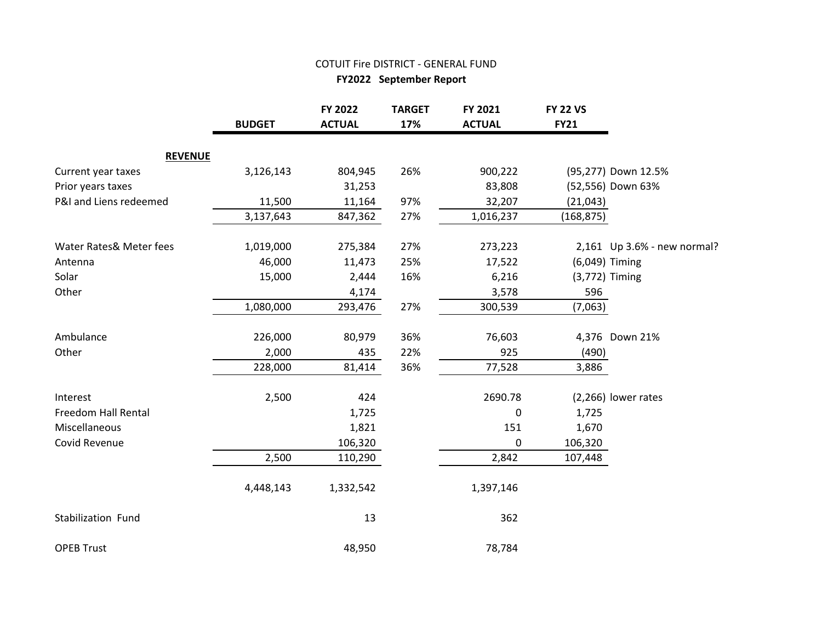## COTUIT Fire DISTRICT - GENERAL FUND

 **FY2022 September Report**

|                            | <b>BUDGET</b> | FY 2022<br><b>ACTUAL</b> | <b>TARGET</b><br>17% | FY 2021<br><b>ACTUAL</b> | <b>FY 22 VS</b><br><b>FY21</b> |                             |
|----------------------------|---------------|--------------------------|----------------------|--------------------------|--------------------------------|-----------------------------|
| <b>REVENUE</b>             |               |                          |                      |                          |                                |                             |
| Current year taxes         | 3,126,143     | 804,945                  | 26%                  | 900,222                  |                                | (95,277) Down 12.5%         |
| Prior years taxes          |               | 31,253                   |                      | 83,808                   |                                | (52,556) Down 63%           |
| P&I and Liens redeemed     | 11,500        | 11,164                   | 97%                  | 32,207                   | (21, 043)                      |                             |
|                            | 3,137,643     | 847,362                  | 27%                  | 1,016,237                | (168, 875)                     |                             |
| Water Rates& Meter fees    | 1,019,000     | 275,384                  | 27%                  | 273,223                  |                                | 2,161 Up 3.6% - new normal? |
| Antenna                    | 46,000        | 11,473                   | 25%                  | 17,522                   |                                | (6,049) Timing              |
| Solar                      | 15,000        | 2,444                    | 16%                  | 6,216                    |                                | (3,772) Timing              |
| Other                      |               | 4,174                    |                      | 3,578                    | 596                            |                             |
|                            | 1,080,000     | 293,476                  | 27%                  | 300,539                  | (7,063)                        |                             |
| Ambulance                  | 226,000       | 80,979                   | 36%                  | 76,603                   |                                | 4,376 Down 21%              |
| Other                      | 2,000         | 435                      | 22%                  | 925                      | (490)                          |                             |
|                            | 228,000       | 81,414                   | 36%                  | 77,528                   | 3,886                          |                             |
| Interest                   | 2,500         | 424                      |                      | 2690.78                  |                                | (2,266) lower rates         |
| <b>Freedom Hall Rental</b> |               | 1,725                    |                      | $\mathbf 0$              | 1,725                          |                             |
| Miscellaneous              |               | 1,821                    |                      | 151                      | 1,670                          |                             |
| Covid Revenue              |               | 106,320                  |                      | $\mathbf 0$              | 106,320                        |                             |
|                            | 2,500         | 110,290                  |                      | 2,842                    | 107,448                        |                             |
|                            | 4,448,143     | 1,332,542                |                      | 1,397,146                |                                |                             |
| Stabilization Fund         |               | 13                       |                      | 362                      |                                |                             |
| <b>OPEB Trust</b>          |               | 48,950                   |                      | 78,784                   |                                |                             |